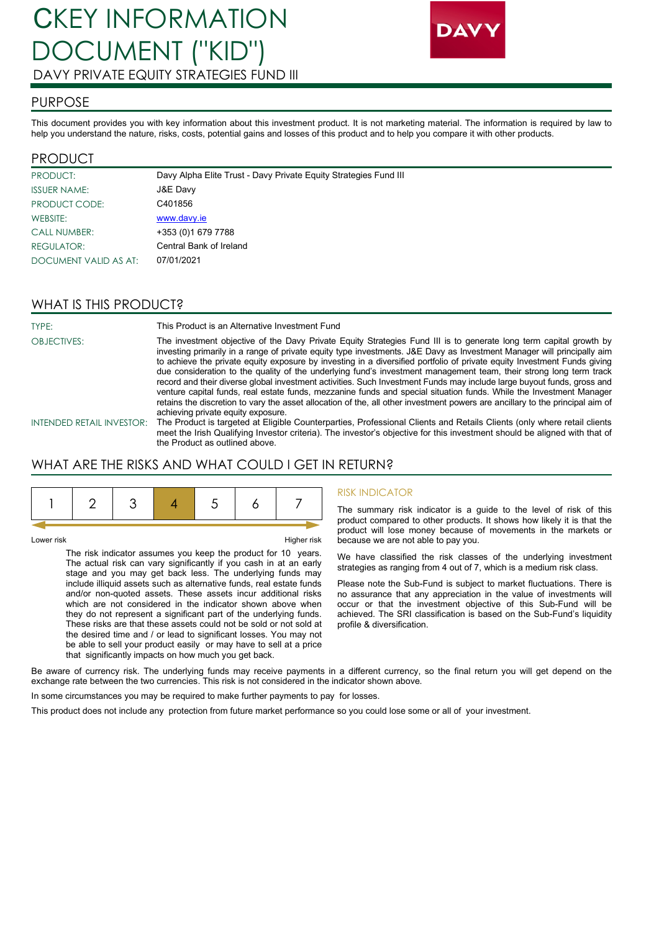

### PURPOSE

This document provides you with key information about this investment product. It is not marketing material. The information is required by law to help you understand the nature, risks, costs, potential gains and losses of this product and to help you compare it with other products.

### PRODUCT

| PRODUCT:              | Davy Alpha Elite Trust - Davy Private Equity Strategies Fund III |
|-----------------------|------------------------------------------------------------------|
| <b>ISSUER NAME:</b>   | J&E Davy                                                         |
| PRODUCT CODE:         | C401856                                                          |
| WEBSITE:              | www.davy.ie                                                      |
| <b>CALL NUMBER:</b>   | +353 (0)1 679 7788                                               |
| REGULATOR:            | Central Bank of Ireland                                          |
| DOCUMENT VALID AS AT: | 07/01/2021                                                       |

## WHAT IS THIS PRODUCT?

TYPE: This Product is an Alternative Investment Fund OBJECTIVES: The investment objective of the Davy Private Equity Strategies Fund III is to generate long term capital growth by investing primarily in a range of private equity type investments. J&E Davy as Investment Manager will principally aim to achieve the private equity exposure by investing in a diversified portfolio of private equity Investment Funds giving due consideration to the quality of the underlying fund's investment management team, their strong long term track record and their diverse global investment activities. Such Investment Funds may include large buyout funds, gross and venture capital funds, real estate funds, mezzanine funds and special situation funds. While the Investment Manager retains the discretion to vary the asset allocation of the, all other investment powers are ancillary to the principal aim of achieving private equity exposure. INTENDED RETAIL INVESTOR: The Product is targeted at Eligible Counterparties, Professional Clients and Retails Clients (only where retail clients

meet the Irish Qualifying Investor criteria). The investor's objective for this investment should be aligned with that of the Product as outlined above.

# WHAT ARE THE RISKS AND WHAT COULD I GET IN RETURN?

Lower risk Higher risk

The risk indicator assumes you keep the product for 10 years. The actual risk can vary significantly if you cash in at an early stage and you may get back less. The underlying funds may include illiquid assets such as alternative funds, real estate funds and/or non-quoted assets. These assets incur additional risks which are not considered in the indicator shown above when they do not represent a significant part of the underlying funds. These risks are that these assets could not be sold or not sold at the desired time and / or lead to significant losses. You may not be able to sell your product easily or may have to sell at a price that significantly impacts on how much you get back.

#### RISK INDICATOR

The summary risk indicator is a guide to the level of risk of this product compared to other products. It shows how likely it is that the product will lose money because of movements in the markets or because we are not able to pay you.

We have classified the risk classes of the underlying investment strategies as ranging from 4 out of 7, which is a medium risk class.

Please note the Sub-Fund is subject to market fluctuations. There is no assurance that any appreciation in the value of investments will occur or that the investment objective of this Sub-Fund will be achieved. The SRI classification is based on the Sub-Fund's liquidity profile & diversification.

Be aware of currency risk. The underlying funds may receive payments in a different currency, so the final return you will get depend on the exchange rate between the two currencies. This risk is not considered in the indicator shown above.

In some circumstances you may be required to make further payments to pay for losses.

This product does not include any protection from future market performance so you could lose some or all of your investment.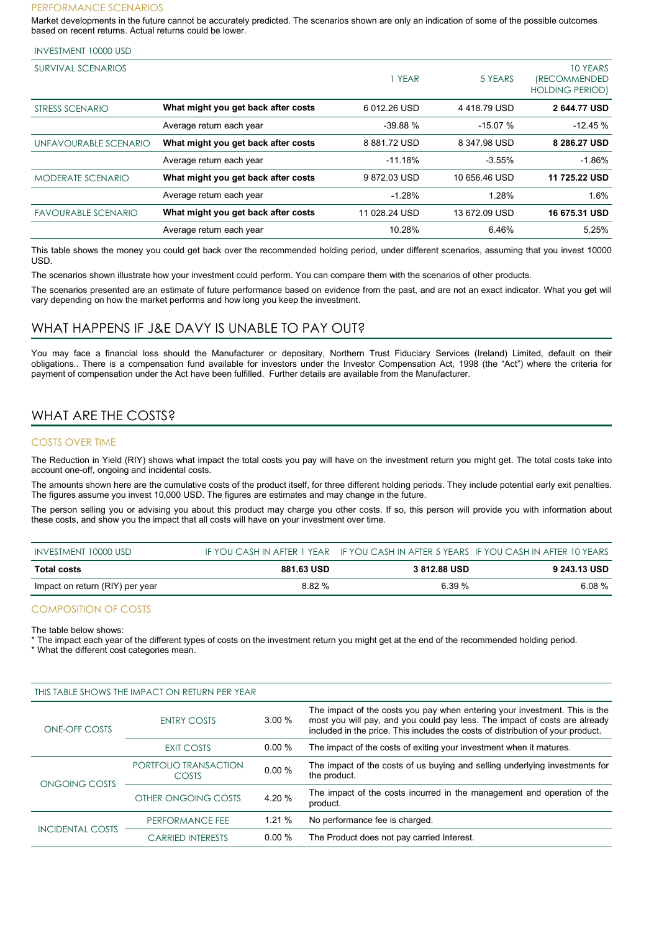#### PERFORMANCE SCENARIOS

Market developments in the future cannot be accurately predicted. The scenarios shown are only an indication of some of the possible outcomes based on recent returns. Actual returns could be lower.

| <b>INVESTMENT 10000 USD</b> |  |
|-----------------------------|--|
|-----------------------------|--|

| SURVIVAL SCENARIOS         |                                     | YEAR          | 5 YEARS       | 10 YEARS<br><i><b>(RECOMMENDED)</b></i><br><b>HOLDING PERIOD)</b> |
|----------------------------|-------------------------------------|---------------|---------------|-------------------------------------------------------------------|
| STRESS SCENARIO            | What might you get back after costs | 6012.26 USD   | 4418.79 USD   | 2 644.77 USD                                                      |
|                            | Average return each year            | $-39.88%$     | $-15.07%$     | $-12.45%$                                                         |
| UNFAVOURABLE SCENARIO      | What might you get back after costs | 8881.72 USD   | 8 347.98 USD  | 8 286.27 USD                                                      |
|                            | Average return each year            | $-11.18%$     | $-3.55%$      | $-1.86%$                                                          |
| <b>MODERATE SCENARIO</b>   | What might you get back after costs | 9872.03 USD   | 10 656.46 USD | 11 725.22 USD                                                     |
|                            | Average return each year            | $-1.28%$      | 1.28%         | 1.6%                                                              |
| <b>FAVOURABLE SCENARIO</b> | What might you get back after costs | 11 028.24 USD | 13 672.09 USD | 16 675.31 USD                                                     |
|                            | Average return each year            | 10.28%        | 6.46%         | 5.25%                                                             |

This table shows the money you could get back over the recommended holding period, under different scenarios, assuming that you invest 10000 USD.

The scenarios shown illustrate how your investment could perform. You can compare them with the scenarios of other products.

The scenarios presented are an estimate of future performance based on evidence from the past, and are not an exact indicator. What you get will vary depending on how the market performs and how long you keep the investment.

### WHAT HAPPENS IF J&E DAVY IS UNABLE TO PAY OUT?

You may face a financial loss should the Manufacturer or depositary, Northern Trust Fiduciary Services (Ireland) Limited, default on their obligations.. There is a compensation fund available for investors under the Investor Compensation Act, 1998 (the "Act") where the criteria for payment of compensation under the Act have been fulfilled. Further details are available from the Manufacturer.

## WHAT ARE THE COSTS?

#### COSTS OVER TIME

The Reduction in Yield (RIY) shows what impact the total costs you pay will have on the investment return you might get. The total costs take into account one-off, ongoing and incidental costs.

The amounts shown here are the cumulative costs of the product itself, for three different holding periods. They include potential early exit penalties. The figures assume you invest 10,000 USD. The figures are estimates and may change in the future.

The person selling you or advising you about this product may charge you other costs. If so, this person will provide you with information about these costs, and show you the impact that all costs will have on your investment over time.

| INVESTMENT 10000 USD            |            |              | IF YOU CASH IN AFTER 1 YEAR IF YOU CASH IN AFTER 5 YEARS IF YOU CASH IN AFTER 10 YEARS |
|---------------------------------|------------|--------------|----------------------------------------------------------------------------------------|
| Total costs                     | 881.63 USD | 3 812.88 USD | 9 243.13 USD                                                                           |
| Impact on return (RIY) per year | 8.82 %     | 6.39%        | $6.08\%$                                                                               |

#### COMPOSITION OF COSTS

The table below shows:

The impact each year of the different types of costs on the investment return you might get at the end of the recommended holding period.

\* What the different cost categories mean.

|                         | THIS TABLE SHOWS THE IMPACT ON RETURN PER YEAR |          |                                                                                                                                                                                                                                             |
|-------------------------|------------------------------------------------|----------|---------------------------------------------------------------------------------------------------------------------------------------------------------------------------------------------------------------------------------------------|
| ONE-OFF COSTS           | <b>ENTRY COSTS</b>                             | 3.00%    | The impact of the costs you pay when entering your investment. This is the<br>most you will pay, and you could pay less. The impact of costs are already<br>included in the price. This includes the costs of distribution of your product. |
|                         | EXIT COSTS                                     | $0.00\%$ | The impact of the costs of exiting your investment when it matures.                                                                                                                                                                         |
| ONGOING COSTS           | PORTFOLIO TRANSACTION<br><b>COSTS</b>          | 0.00%    | The impact of the costs of us buying and selling underlying investments for<br>the product.                                                                                                                                                 |
|                         | OTHER ONGOING COSTS                            | 4.20%    | The impact of the costs incurred in the management and operation of the<br>product.                                                                                                                                                         |
| <b>INCIDENTAL COSTS</b> | PERFORMANCE FEE                                | 1.21%    | No performance fee is charged.                                                                                                                                                                                                              |
|                         | <b>CARRIED INTERESTS</b>                       | $0.00\%$ | The Product does not pay carried Interest.                                                                                                                                                                                                  |